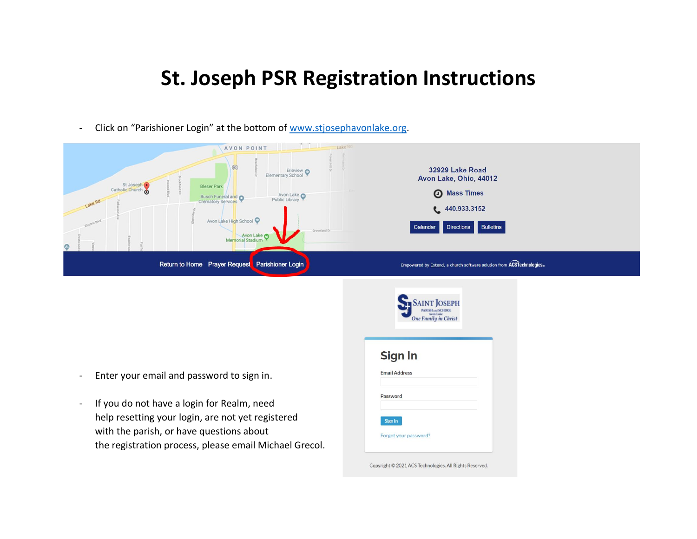## **St. Joseph PSR Registration Instructions**

- Click on "Parishioner Login" at the bottom of [www.stjosephavonlake.org.](http://www.stjosephavonlake.org/)

| Lake Ro<br>AVON POINT<br>$\circledR$<br>Erieview C<br>Elementary School<br>St Joseph<br><b>Bleser Park</b><br>Avon Lake Public Library<br>Busch Funeral and<br>Lake Rd<br>Crematory Services<br>Avon Lake High School<br>Electric Blvd.<br>Groveland Dr<br><b>Avon Lake</b><br><b>Memorial Stadium</b><br>$\bullet$ | 32929 Lake Road<br>Avon Lake, Ohio, 44012<br><b>4</b> Mass Times<br>440.933.3152<br>Directions Bulletins<br>Calendar |
|---------------------------------------------------------------------------------------------------------------------------------------------------------------------------------------------------------------------------------------------------------------------------------------------------------------------|----------------------------------------------------------------------------------------------------------------------|
| Return to Home Prayer Request Parishioner Login                                                                                                                                                                                                                                                                     | Empowered by Extend, a church software solution from ACSTechnologies                                                 |
|                                                                                                                                                                                                                                                                                                                     | <b>One Family in Christ</b><br>Sign In                                                                               |
| Enter your email and password to sign in.                                                                                                                                                                                                                                                                           | <b>Email Address</b>                                                                                                 |
| If you do not have a login for Realm, need<br>$\qquad \qquad \blacksquare$<br>help resetting your login, are not yet registered<br>with the parish, or have questions about<br>the registration process, please email Michael Grecol.                                                                               | Password<br>Sign In<br>Forgot your password?                                                                         |

Copyright © 2021 ACS Technologies. All Rights Reserved.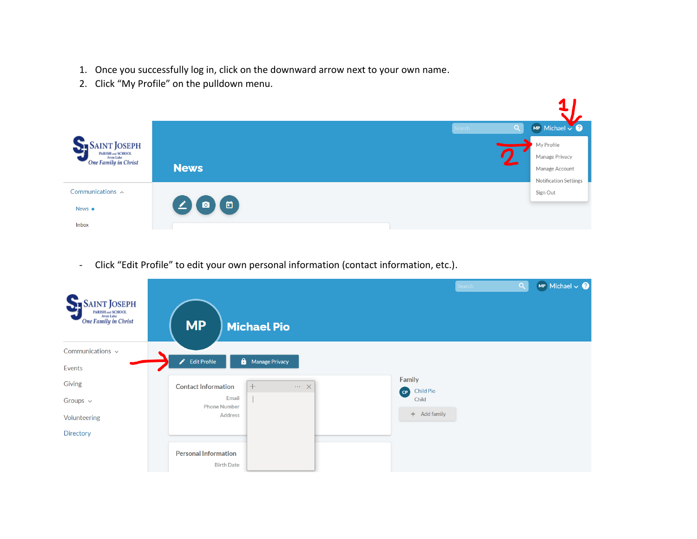- 1. Once you successfully log in, click on the downward arrow next to your own name.
- 2. Click "My Profile" on the pulldown menu.



- Click "Edit Profile" to edit your own personal information (contact information, etc.).

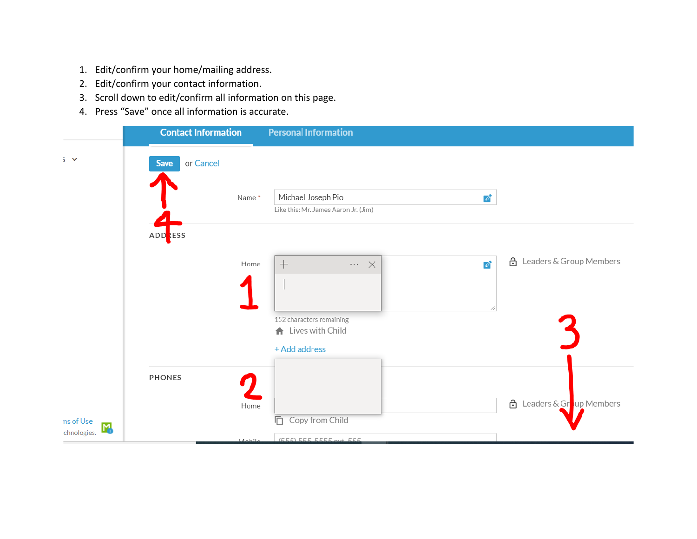- 1. Edit/confirm your home/mailing address.
- 2. Edit/confirm your contact information.
- 3. Scroll down to edit/confirm all information on this page.
- 4. Press "Save" once all information is accurate.

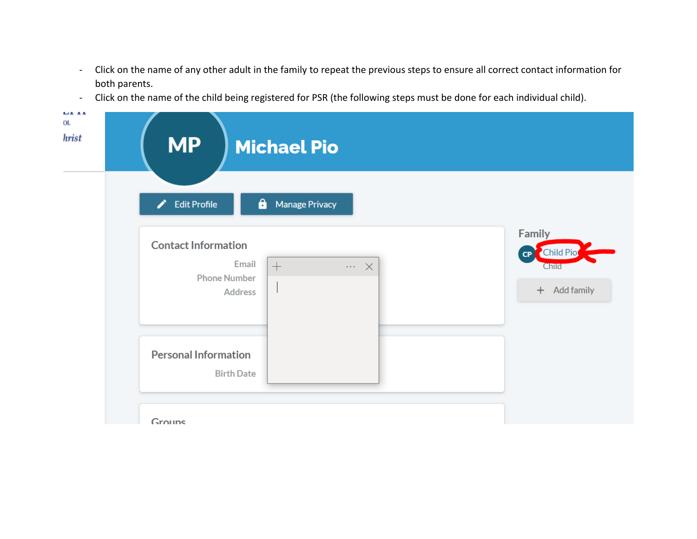- Click on the name of any other adult in the family to repeat the previous steps to ensure all correct contact information for both parents.
- Click on the name of the child being registered for PSR (the following steps must be done for each individual child).

| <b>MP</b>                                         | <b>Michael Pio</b>                                           |                                                                  |
|---------------------------------------------------|--------------------------------------------------------------|------------------------------------------------------------------|
| ∕<br><b>Edit Profile</b>                          | $\mathbf{a}$<br><b>Manage Privacy</b>                        |                                                                  |
| <b>Contact Information</b><br><b>Phone Number</b> | Email<br>$+$<br>$\cdots\hspace{1mm}\times$<br><b>Address</b> | <b>Family</b><br><b>Child Pio</b><br>CP<br>Child<br>+ Add family |
| <b>Personal Information</b>                       | <b>Birth Date</b>                                            |                                                                  |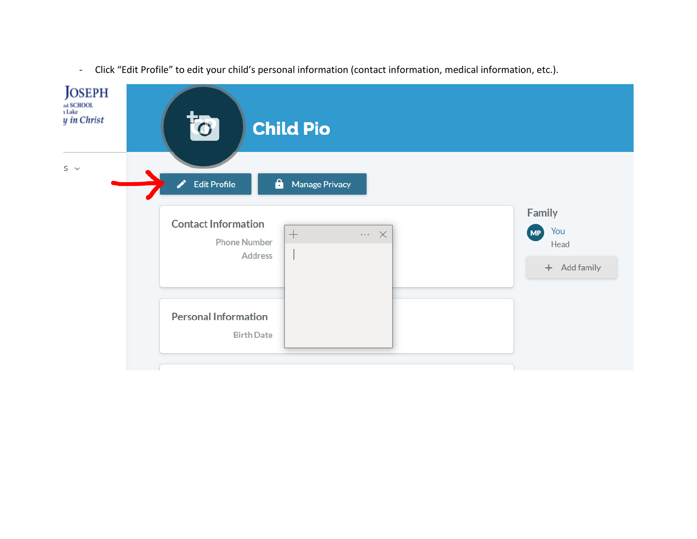

- Click "Edit Profile" to edit your child's personal information (contact information, medical information, etc.).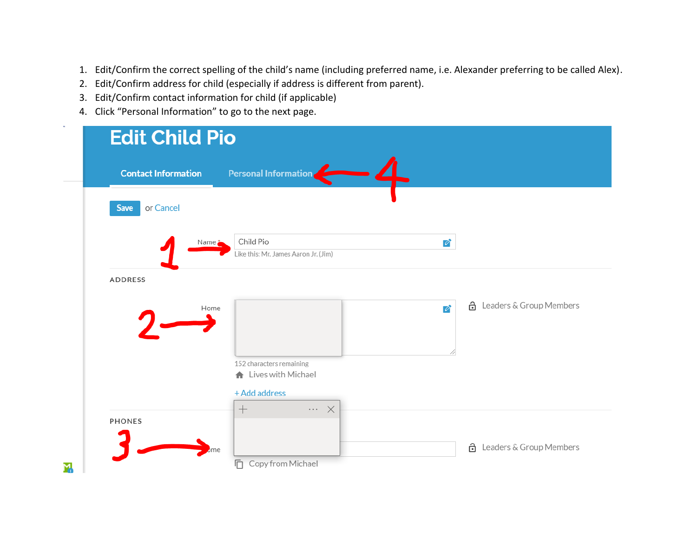- 1. Edit/Confirm the correct spelling of the child's name (including preferred name, i.e. Alexander preferring to be called Alex).
- 2. Edit/Confirm address for child (especially if address is different from parent).
- 3. Edit/Confirm contact information for child (if applicable)
- 4. Click "Personal Information" to go to the next page.

| <b>Contact Information</b> |                                    | Personal Information                                 |                          |                                  |
|----------------------------|------------------------------------|------------------------------------------------------|--------------------------|----------------------------------|
| or Cancel<br>Save          |                                    |                                                      |                          |                                  |
|                            | Child Pio<br>Name $\ddot{\bullet}$ | Like this: Mr. James Aaron Jr. (Jim)                 | Ø                        |                                  |
| ADDRESS                    |                                    |                                                      |                          |                                  |
|                            | Home                               |                                                      | $\overline{\mathscr{O}}$ | <b>A</b> Leaders & Group Members |
|                            |                                    |                                                      |                          |                                  |
|                            |                                    | 152 characters remaining<br>truck Uives with Michael |                          |                                  |
|                            | $+$                                | + Add address<br>$\cdots\hspace{0.1cm}\times$        |                          |                                  |
| <b>PHONES</b>              |                                    |                                                      |                          |                                  |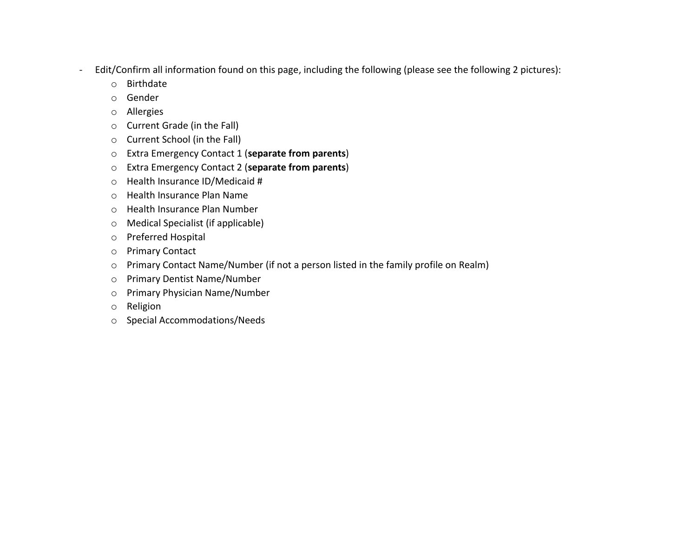- Edit/Confirm all information found on this page, including the following (please see the following 2 pictures):
	- o Birthdate
	- o Gender
	- o Allergies
	- o Current Grade (in the Fall)
	- o Current School (in the Fall)
	- o Extra Emergency Contact 1 (**separate from parents**)
	- o Extra Emergency Contact 2 (**separate from parents**)
	- o Health Insurance ID/Medicaid #
	- o Health Insurance Plan Name
	- o Health Insurance Plan Number
	- o Medical Specialist (if applicable)
	- o Preferred Hospital
	- o Primary Contact
	- o Primary Contact Name/Number (if not a person listed in the family profile on Realm)
	- o Primary Dentist Name/Number
	- o Primary Physician Name/Number
	- o Religion
	- o Special Accommodations/Needs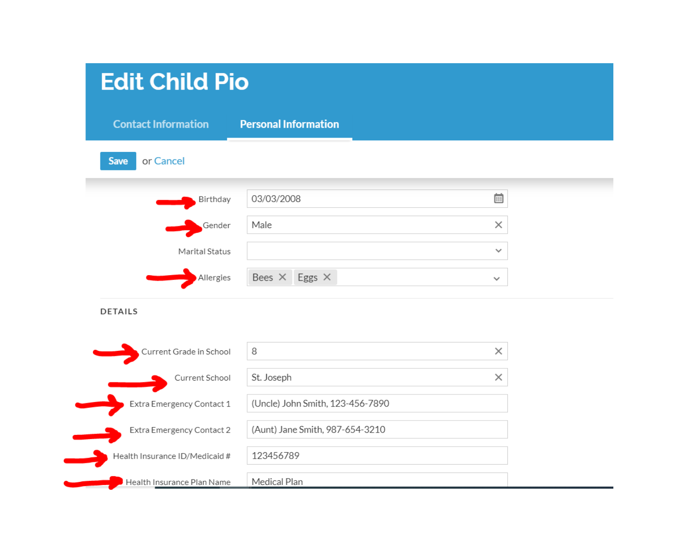| <b>Edit Child Pio</b>          |                                  |               |  |
|--------------------------------|----------------------------------|---------------|--|
| <b>Contact Information</b>     | <b>Personal Information</b>      |               |  |
| or Cancel<br><b>Save</b>       |                                  |               |  |
| Birthday                       | 03/03/2008                       | $\overline{}$ |  |
| Gender                         | Male                             | $\times$      |  |
| Marital Status                 |                                  | $\checkmark$  |  |
| Allergies                      | Bees $\times$ Eggs $\times$      | $\checkmark$  |  |
| <b>DETAILS</b>                 |                                  |               |  |
| Current Grade in School        | 8                                | $\times$      |  |
| Current School                 | St. Joseph                       | $\times$      |  |
| Extra Emergency Contact 1      | (Uncle) John Smith, 123-456-7890 |               |  |
| Extra Emergency Contact 2      | (Aunt) Jane Smith, 987-654-3210  |               |  |
| Health Insurance ID/Medicaid # | 123456789                        |               |  |
| Health Insurance Plan Name     | Medical Plan                     |               |  |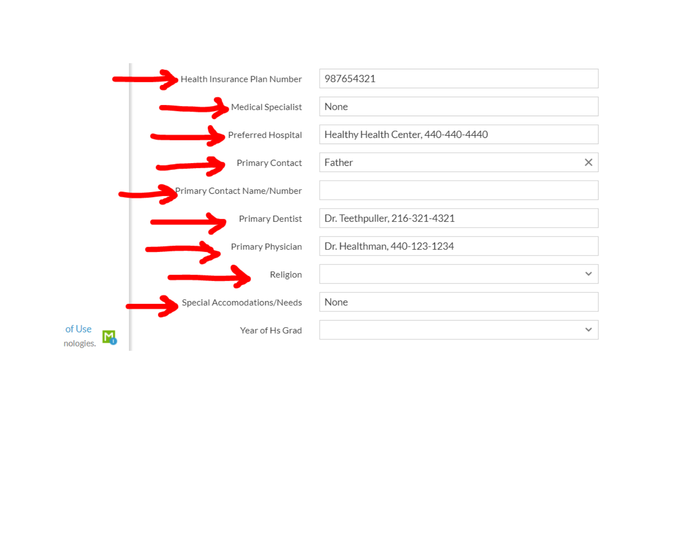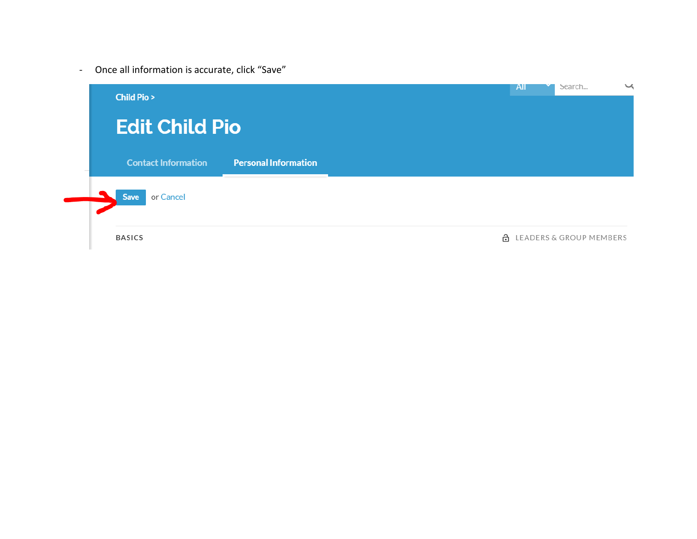- Once all information is accurate, click "Save"